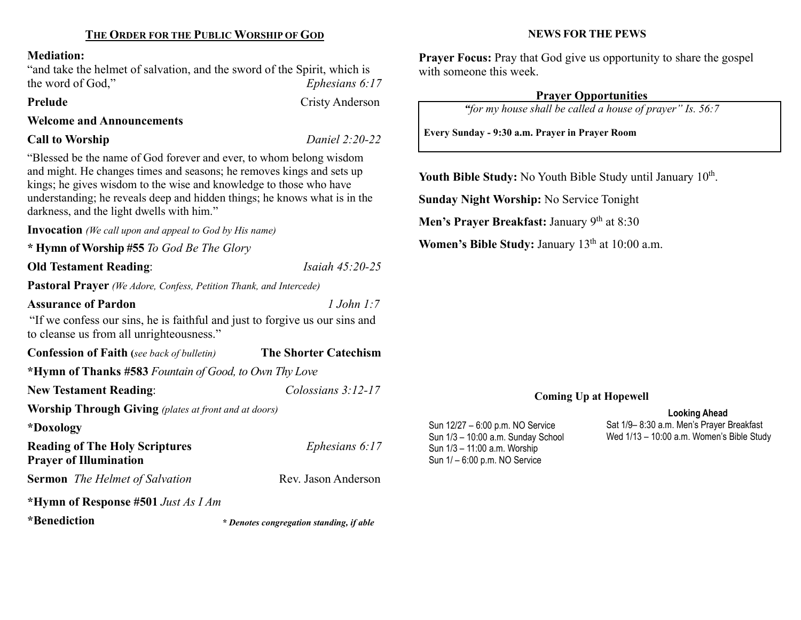## THE ORDER FOR THE PUBLIC WORSHIP OF GOD

#### Mediation:

"and take the helmet of salvation, and the sword of the Spirit, which is the word of God,"  $Ephesians 6:17$ 

Prelude Cristy Anderson

#### Welcome and Announcements

## Call to Worship Daniel 2:20-22

"Blessed be the name of God forever and ever, to whom belong wisdom and might. He changes times and seasons; he removes kings and sets up kings; he gives wisdom to the wise and knowledge to those who have understanding; he reveals deep and hidden things; he knows what is in the darkness, and the light dwells with him."

Invocation (We call upon and appeal to God by His name)

\* Hymn of Worship #55 To God Be The Glory

## Old Testament Reading: *Isaiah 45:20-25*

Pastoral Prayer (We Adore, Confess, Petition Thank, and Intercede)

#### Assurance of Pardon 2008 1 John 1:7

"If we confess our sins, he is faithful and just to forgive us our sins and to cleanse us from all unrighteousness."

| <b>Confession of Faith</b> (see back of bulletin)                      | <b>The Shorter Catechism</b> |  |  |
|------------------------------------------------------------------------|------------------------------|--|--|
| *Hymn of Thanks #583 Fountain of Good, to Own Thy Love                 |                              |  |  |
| <b>New Testament Reading:</b>                                          | Colossians $3:12-17$         |  |  |
| <b>Worship Through Giving</b> (plates at front and at doors)           |                              |  |  |
| *Doxology                                                              |                              |  |  |
| <b>Reading of The Holy Scriptures</b><br><b>Prayer of Illumination</b> | Ephesians $6:17$             |  |  |
| <b>Sermon</b> The Helmet of Salvation                                  | Rev. Jason Anderson          |  |  |
| *Hymn of Response #501 Just As I Am                                    |                              |  |  |

\*Benediction

\* Denotes congregation standing, if able

#### NEWS FOR THE PEWS

Prayer Focus: Pray that God give us opportunity to share the gospel with someone this week.

## Prayer Opportunities

"for my house shall be called a house of prayer" Is. 56:7

Every Sunday - 9:30 a.m. Prayer in Prayer Room

Youth Bible Study: No Youth Bible Study until January  $10<sup>th</sup>$ .

Sunday Night Worship: No Service Tonight

Men's Prayer Breakfast: January  $9<sup>th</sup>$  at 8:30

Women's Bible Study: January 13<sup>th</sup> at 10:00 a.m.

## Coming Up at Hopewell

Sun 12/27 – 6:00 p.m. NO Service Sun 1/3 – 10:00 a.m. Sunday School Sun 1/3 – 11:00 a.m. Worship Sun 1/ – 6:00 p.m. NO Service

Looking Ahead Sat 1/9– 8:30 a.m. Men's Prayer Breakfast Wed 1/13 – 10:00 a.m. Women's Bible Study